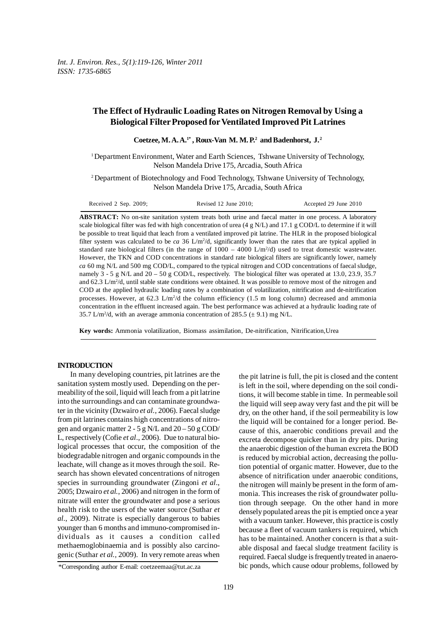# **The Effect of Hydraulic Loading Rates on Nitrogen Removal by Using a Biological Filter Proposed for Ventilated Improved Pit Latrines**

Coetzee, M. A. A.<sup>1\*</sup>, Roux-Van M. M. P.<sup>2</sup> and Badenhorst, J.<sup>2</sup>

1 Department Environment, Water and Earth Sciences, Tshwane University of Technology, Nelson Mandela Drive 175, Arcadia, South Africa

2 Department of Biotechnology and Food Technology, Tshwane University of Technology, Nelson Mandela Drive 175, Arcadia, South Africa

Received 2 Sep. 2009; Revised 12 June 2010; Accepted 29 June 2010

**ABSTRACT:** No on-site sanitation system treats both urine and faecal matter in one process. A laboratory scale biological filter was fed with high concentration of urea (4 g N/L) and 17.1 g COD/L to determine if it will be possible to treat liquid that leach from a ventilated improved pit latrine. The HLR in the proposed biological filter system was calculated to be *ca* 36 L/m<sup>2</sup>/d, significantly lower than the rates that are typical applied in standard rate biological filters (in the range of  $1000 - 4000$  L/m<sup>2</sup>/d) used to treat domestic wastewater. However, the TKN and COD concentrations in standard rate biological filters are significantly lower, namely *ca* 60 mg N/L and 500 mg COD/L, compared to the typical nitrogen and COD concentrations of faecal sludge, namely 3 - 5 g N/L and 20 – 50 g COD/L, respectively. The biological filter was operated at 13.0, 23.9, 35.7 and 62.3 L/m<sup>2</sup>/d, until stable state conditions were obtained. It was possible to remove most of the nitrogen and COD at the applied hydraulic loading rates by a combination of volatilization, nitrification and de-nitrification processes. However, at 62.3  $L/m^2/d$  the column efficiency (1.5 m long column) decreased and ammonia concentration in the effluent increased again. The best performance was achieved at a hydraulic loading rate of 35.7 L/m<sup>2</sup>/d, with an average ammonia concentration of 285.5 ( $\pm$  9.1) mg N/L.

**Key words:** Ammonia volatilization, Biomass assimilation, De-nitrification, Nitrification,Urea

### **INTRODUCTION**

In many developing countries, pit latrines are the sanitation system mostly used. Depending on the permeability of the soil, liquid will leach from a pit latrine into the surroundings and can contaminate groundwater in the vicinity (Dzwairo *et al.*, 2006). Faecal sludge from pit latrines contains high concentrations of nitrogen and organic matter  $2 - 5$  g N/L and  $20 - 50$  g COD/ L, respectively (Cofie *et al*., 2006). Due to natural biological processes that occur, the composition of the biodegradable nitrogen and organic compounds in the leachate, will change as it moves through the soil. Research has shown elevated concentrations of nitrogen species in surrounding groundwater (Zingoni *et al*., 2005; Dzwairo *et al.*, 2006) and nitrogen in the form of nitrate will enter the groundwater and pose a serious health risk to the users of the water source (Suthar *et al*., 2009). Nitrate is especially dangerous to babies younger than 6 months and immuno-compromised individuals as it causes a condition called methaemoglobinaemia and is possibly also carcinogenic (Suthar *et al.,* 2009). In very remote areas when

the pit latrine is full, the pit is closed and the content is left in the soil, where depending on the soil conditions, it will become stable in time. In permeable soil the liquid will seep away very fast and the pit will be dry, on the other hand, if the soil permeability is low the liquid will be contained for a longer period. Because of this, anaerobic conditions prevail and the excreta decompose quicker than in dry pits. During the anaerobic digestion of the human excreta the BOD is reduced by microbial action, decreasing the pollution potential of organic matter. However, due to the absence of nitrification under anaerobic conditions, the nitrogen will mainly be present in the form of ammonia. This increases the risk of groundwater pollution through seepage. On the other hand in more densely populated areas the pit is emptied once a year with a vacuum tanker. However, this practice is costly because a fleet of vacuum tankers is required, which has to be maintained. Another concern is that a suitable disposal and faecal sludge treatment facility is required. Faecal sludge is frequently treated in anaerobic ponds, which cause odour problems, followed by

<sup>\*</sup>Corresponding author E-mail: coetzeemaa@tut.ac.za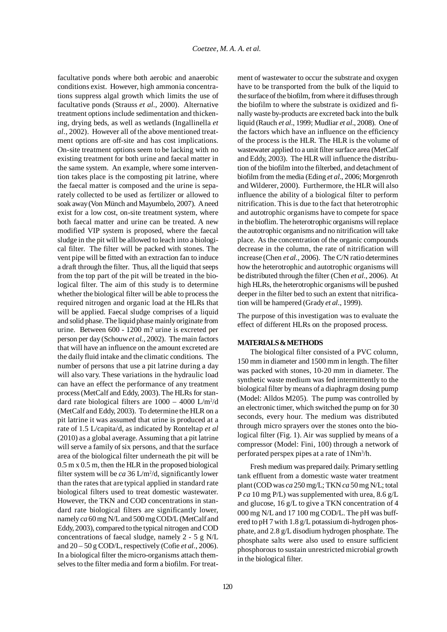facultative ponds where both aerobic and anaerobic conditions exist. However, high ammonia concentrations suppress algal growth which limits the use of facultative ponds (Strauss *et al*., 2000). Alternative treatment options include sedimentation and thickening, drying beds, as well as wetlands (Ingallinella *et al.*, 2002). However all of the above mentioned treatment options are off-site and has cost implications. On-site treatment options seem to be lacking with no existing treatment for both urine and faecal matter in the same system. An example, where some intervention takes place is the composting pit latrine, where the faecal matter is composed and the urine is separately collected to be used as fertilizer or allowed to soak away (Von Münch and Mayumbelo, 2007). A need exist for a low cost, on-site treatment system, where both faecal matter and urine can be treated. A new modified VIP system is proposed, where the faecal sludge in the pit will be allowed to leach into a biological filter. The filter will be packed with stones. The vent pipe will be fitted with an extraction fan to induce a draft through the filter. Thus, all the liquid that seeps from the top part of the pit will be treated in the biological filter. The aim of this study is to determine whether the biological filter will be able to process the required nitrogen and organic load at the HLRs that will be applied. Faecal sludge comprises of a liquid and solid phase. The liquid phase mainly originate from urine. Between 600 - 1200 m? urine is excreted per person per day (Schouw *et al.*, 2002). The main factors that will have an influence on the amount excreted are the daily fluid intake and the climatic conditions. The number of persons that use a pit latrine during a day will also vary. These variations in the hydraulic load can have an effect the performance of any treatment process (MetCalf and Eddy, 2003). The HLRs for standard rate biological filters are  $1000 - 4000$  L/m<sup>2</sup>/d (MetCalf and Eddy, 2003). To determine the HLR on a pit latrine it was assumed that urine is produced at a rate of 1.5 L/capita/d, as indicated by Ronteltap *et al* (2010) as a global average. Assuming that a pit latrine will serve a family of six persons, and that the surface area of the biological filter underneath the pit will be 0.5 m x 0.5 m, then the HLR in the proposed biological filter system will be *ca* 36 L/m<sup>2</sup>/d, significantly lower than the rates that are typical applied in standard rate biological filters used to treat domestic wastewater. However, the TKN and COD concentrations in standard rate biological filters are significantly lower, namely *ca* 60 mg N/L and 500 mg COD/L (MetCalf and Eddy, 2003), compared to the typical nitrogen and COD concentrations of faecal sludge, namely 2 - 5 g N/L and 20 – 50 g COD/L, respectively (Cofie *et al*., 2006). In a biological filter the micro-organisms attach themselves to the filter media and form a biofilm. For treatment of wastewater to occur the substrate and oxygen have to be transported from the bulk of the liquid to the surface of the biofilm, from where it diffuses through the biofilm to where the substrate is oxidized and finally waste by-products are excreted back into the bulk liquid (Rauch *et al*., 1999; Mudliar *et al*., 2008). One of the factors which have an influence on the efficiency of the process is the HLR. The HLR is the volume of wastewater applied to a unit filter surface area (MetCalf and Eddy, 2003). The HLR will influence the distribution of the biofilm into the filterbed, and detachment of biofilm from the media (Eding *et al*., 2006; Morgenroth and Wilderer, 2000). Furthermore, the HLR will also influence the ability of a biological filter to perform nitrification. This is due to the fact that heterotrophic and autotrophic organisms have to compete for space in the bioflim. The heterotrophic organisms will replace the autotrophic organisms and no nitrification will take place. As the concentration of the organic compounds decrease in the column, the rate of nitrification will increase (Chen *et al.,* 2006). The C/N ratio determines how the heterotrophic and autotrophic organisms will be distributed through the filter (Chen *et al.,* 2006). At high HLRs, the heterotrophic organisms will be pushed deeper in the filter bed to such an extent that nitrification will be hampered (Grady *et al*., 1999).

The purpose of this investigation was to evaluate the effect of different HLRs on the proposed process.

#### **MATERIALS & METHODS**

The biological filter consisted of a PVC column, 150 mm in diameter and 1500 mm in length. The filter was packed with stones, 10-20 mm in diameter. The synthetic waste medium was fed intermittently to the biological filter by means of a diaphragm dosing pump (Model: Alldos M205). The pump was controlled by an electronic timer, which switched the pump on for 30 seconds, every hour. The medium was distributed through micro sprayers over the stones onto the biological filter (Fig. 1). Air was supplied by means of a compressor (Model: Fini, 100) through a network of perforated perspex pipes at a rate of 1Nm3 /h.

Fresh medium was prepared daily. Primary settling tank effluent from a domestic waste water treatment plant (COD was *ca* 250 mg/L; TKN *ca* 50 mg N/L; total P *ca* 10 mg P/L) was supplemented with urea, 8.6 g/L and glucose, 16 g/L to give a TKN concentration of 4 000 mg N/L and 17 100 mg COD/L. The pH was buffered to pH 7 with 1.8 g/L potassium di-hydrogen phosphate, and 2.8 g/L disodium hydrogen phosphate. The phosphate salts were also used to ensure sufficient phosphorous to sustain unrestricted microbial growth in the biological filter.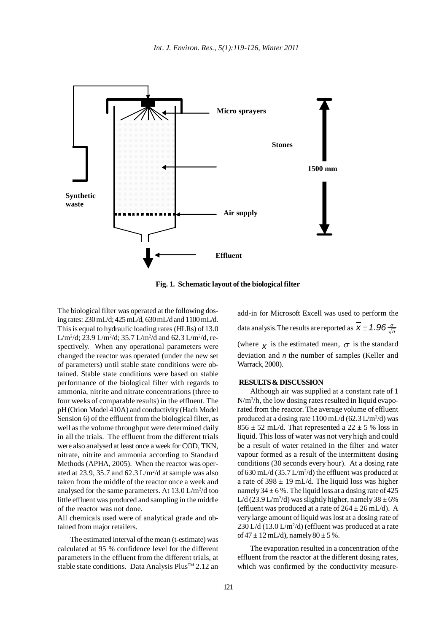

**Fig. 1. Schematic layout of the biological filter**

The biological filter was operated at the following dosing rates: 230 mL/d; 425 mL/d, 630 mL/d and 1100 mL/d. This is equal to hydraulic loading rates (HLRs) of 13.0 L/m<sup>2</sup>/d; 23.9 L/m<sup>2</sup>/d; 35.7 L/m<sup>2</sup>/d and 62.3 L/m<sup>2</sup>/d, respectively. When any operational parameters were changed the reactor was operated (under the new set of parameters) until stable state conditions were obtained. Stable state conditions were based on stable performance of the biological filter with regards to ammonia, nitrite and nitrate concentrations (three to four weeks of comparable results) in the effluent. The pH (Orion Model 410A) and conductivity (Hach Model Sension 6) of the effluent from the biological filter, as well as the volume throughput were determined daily in all the trials. The effluent from the different trials were also analysed at least once a week for COD, TKN, nitrate, nitrite and ammonia according to Standard Methods (APHA*,* 2005). When the reactor was operated at  $23.9$ ,  $35.7$  and  $62.3 \text{ L/m}^2/\text{d}$  at sample was also taken from the middle of the reactor once a week and analysed for the same parameters. At  $13.0 \text{ L/m}^2/\text{d}$  too little effluent was produced and sampling in the middle of the reactor was not done.

All chemicals used were of analytical grade and obtained from major retailers.

The estimated interval of the mean (t-estimate) was calculated at 95 % confidence level for the different parameters in the effluent from the different trials, at stable state conditions. Data Analysis Plus™ 2.12 an

add-in for Microsoft Excell was used to perform the data analysis. The results are reported as  $\overline{x} \pm 1.96 \frac{\sigma}{\sqrt{n}}$ (where  $\bar{x}$  is the estimated mean,  $\sigma$  is the standard deviation and *n* the number of samples (Keller and Warrack, 2000).

## **RESULTS & DISCUSSION**

Although air was supplied at a constant rate of 1 N/m<sup>3</sup>/h, the low dosing rates resulted in liquid evaporated from the reactor. The average volume of effluent produced at a dosing rate  $1100 \text{ mL/d}$  (62.3 L/m<sup>2</sup>/d) was  $856 \pm 52$  mL/d. That represented a  $22 \pm 5$  % loss in liquid. This loss of water was not very high and could be a result of water retained in the filter and water vapour formed as a result of the intermittent dosing conditions (30 seconds every hour). At a dosing rate of 630 mL/d  $(35.7 \text{ L/m}^2/d)$  the effluent was produced at a rate of  $398 \pm 19$  mL/d. The liquid loss was higher namely  $34 \pm 6$ %. The liquid loss at a dosing rate of 425 L/d (23.9 L/m<sup>2</sup>/d) was slightly higher, namely  $38 \pm 6\%$ (effluent was produced at a rate of  $264 \pm 26$  mL/d). A very large amount of liquid was lost at a dosing rate of  $230$  L/d (13.0 L/m<sup>2</sup>/d) (effluent was produced at a rate of  $47 \pm 12$  mL/d), namely  $80 \pm 5$  %.

The evaporation resulted in a concentration of the effluent from the reactor at the different dosing rates, which was confirmed by the conductivity measure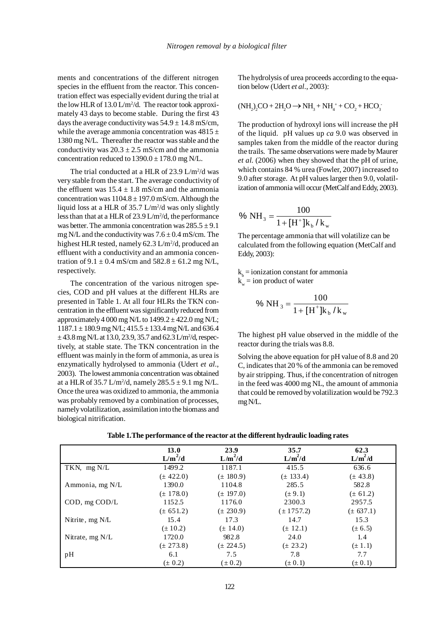ments and concentrations of the different nitrogen species in the effluent from the reactor. This concentration effect was especially evident during the trial at the low HLR of  $13.0 \text{ L/m}^2/\text{d}$ . The reactor took approximately 43 days to become stable. During the first 43 days the average conductivity was  $54.9 \pm 14.8$  mS/cm, while the average ammonia concentration was  $4815 \pm$ 1380 mg N/L. Thereafter the reactor was stable and the conductivity was  $20.3 \pm 2.5$  mS/cm and the ammonia concentration reduced to  $1390.0 \pm 178.0$  mg N/L.

The trial conducted at a HLR of  $23.9 \text{ L/m}^2/\text{d}$  was very stable from the start. The average conductivity of the effluent was  $15.4 \pm 1.8$  mS/cm and the ammonia concentration was  $1104.8 \pm 197.0$  mS/cm. Although the liquid loss at a HLR of 35.7 L/m<sup>2</sup>/d was only slightly less than that at a HLR of 23.9 L/m<sup>2</sup>/d, the performance was better. The ammonia concentration was  $285.5 \pm 9.1$ mg N/L and the conductivity was  $7.6 \pm 0.4$  mS/cm. The highest HLR tested, namely 62.3 L/m<sup>2</sup>/d, produced an effluent with a conductivity and an ammonia concentration of 9.1  $\pm$  0.4 mS/cm and 582.8  $\pm$  61.2 mg N/L, respectively.

The concentration of the various nitrogen species, COD and pH values at the different HLRs are presented in Table 1. At all four HLRs the TKN concentration in the effluent was significantly reduced from approximately 4 000 mg N/L to  $1499.2 \pm 422.0$  mg N/L;  $1187.1 \pm 180.9$  mg N/L;  $415.5 \pm 133.4$  mg N/L and 636.4  $\pm$  43.8 mg N/L at 13.0, 23.9, 35.7 and 62.3 L/m<sup>2</sup>/d, respectively, at stable state. The TKN concentration in the effluent was mainly in the form of ammonia, as urea is enzymatically hydrolysed to ammonia (Udert *et al*., 2003). The lowest ammonia concentration was obtained at a HLR of 35.7 L/m<sup>2</sup>/d, namely  $285.5 \pm 9.1$  mg N/L. Once the urea was oxidized to ammonia, the ammonia was probably removed by a combination of processes, namely volatilization, assimilation into the biomass and biological nitrification.

The hydrolysis of urea proceeds according to the equation below (Udert *et al*., 2003):

$$
(NH2)2CO + 2H2O \rightarrow NH3 + NH4+ + CO2 + HCO3
$$

The production of hydroxyl ions will increase the pH of the liquid. pH values up *ca* 9.0 was observed in samples taken from the middle of the reactor during the trails. The same observations were made by Maurer *et al.* (2006) when they showed that the pH of urine, which contains 84 % urea (Fowler, 2007) increased to 9.0 after storage. At pH values larger then 9.0, volatilization of ammonia will occur (MetCalf and Eddy, 2003).

% NH<sub>3</sub> = 
$$
\frac{100}{1 + [H^+]k_b/k_w}
$$

The percentage ammonia that will volatilize can be calculated from the following equation (MetCalf and Eddy, 2003):

 $k_b$  = ionization constant for ammonia  $k_w$  = ion product of water

% NH<sub>3</sub> = 
$$
\frac{100}{1 + [H^+]k_b / k_w}
$$

The highest pH value observed in the middle of the reactor during the trials was 8.8.

Solving the above equation for pH value of 8.8 and 20 C, indicates that 20 % of the ammonia can be removed by air stripping. Thus, if the concentration of nitrogen in the feed was 4000 mg NL, the amount of ammonia that could be removed by volatilization would be 792.3 mg N/L.

|                   | 13.0          | 23.9          | 35.7           | 62.3          |
|-------------------|---------------|---------------|----------------|---------------|
|                   | $L/m^2/d$     | $L/m^2/d$     | $L/m^2/d$      | $L/m^2/d$     |
| TKN, mg N/L       | 1499.2        | 1187.1        | 415.5          | 636.6         |
|                   | $(\pm 422.0)$ | $(\pm 180.9)$ | $(\pm 133.4)$  | $(\pm 43.8)$  |
| Ammonia, mg N/L   | 1390.0        | 1104.8        | 285.5          | 582.8         |
|                   | $(\pm 178.0)$ | $(\pm 197.0)$ | $(\pm 9.1)$    | $(\pm 61.2)$  |
| COD, mg COD/L     | 1152.5        | 1176.0        | 2300.3         | 2957.5        |
|                   | $(\pm 651.2)$ | $(\pm 230.9)$ | $(\pm 1757.2)$ | $(\pm 637.1)$ |
| Nitrite, $mg$ N/L | 15.4          | 17.3          | 14.7           | 15.3          |
|                   | $(\pm 10.2)$  | $(\pm 14.0)$  | $(\pm 12.1)$   | $(\pm 6.5)$   |
| Nitrate, $mg$ N/L | 1720.0        | 982.8         | 24.0           | 1.4           |
|                   | $(\pm 273.8)$ | $(\pm 224.5)$ | $(\pm 23.2)$   | $(\pm 1.1)$   |
| pH                | 6.1           | 7.5           | 7.8            | 7.7           |
|                   | $(\pm 0.2)$   | $(\pm 0.2)$   | $(\pm 0.1)$    | $(\pm 0.1)$   |

**Table 1.The performance of the reactor at the different hydraulic loading rates**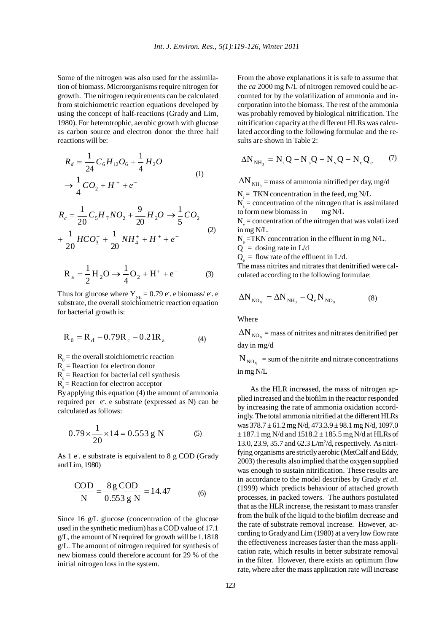Some of the nitrogen was also used for the assimilation of biomass. Microorganisms require nitrogen for growth. The nitrogen requirements can be calculated from stoichiometric reaction equations developed by using the concept of half-reactions (Grady and Lim, 1980). For heterotrophic, aerobic growth with glucose as carbon source and electron donor the three half reactions will be:

$$
R_d = \frac{1}{24} C_6 H_{12} O_6 + \frac{1}{4} H_2 O
$$
  
\n
$$
\rightarrow \frac{1}{4} CO_2 + H^+ + e^-
$$
 (1)

$$
R_c = \frac{1}{20} C_5 H_7 NO_2 + \frac{9}{20} H_2 O \rightarrow \frac{1}{5} CO_2
$$
  
+ 
$$
\frac{1}{20} HCO_3^- + \frac{1}{20} NH_4^+ + H^+ + e^-
$$
 (2)

$$
R_a = \frac{1}{2}H_2O \rightarrow \frac{1}{4}O_2 + H^+ + e^-
$$
 (3)

Thus for glucose where  $Y_{NH} = 0.79$  e. e biomass/e. e substrate, the overall stoichiometric reaction equation for bacterial growth is:

$$
R_0 = R_d - 0.79R_c - 0.21R_a \tag{4}
$$

 $R_0$  = the overall stoichiometric reaction

 $R_d$  = Reaction for electron donor

 $R_c$  = Reaction for bacterial cell synthesis

 $R_{\text{A}}$  = Reaction for electron acceptor

By applying this equation (4) the amount of ammonia required per e. e substrate (expressed as N) can be calculated as follows:

$$
0.79 \times \frac{1}{20} \times 14 = 0.553 \text{ g N} \tag{5}
$$

As 1 e. e substrate is equivalent to 8 g COD (Grady and Lim, 1980)

$$
\frac{\text{COD}}{\text{N}} = \frac{8 \text{ g COD}}{0.553 \text{ g N}} = 14.47
$$
 (6)

Since 16 g/L glucose (concentration of the glucose used in the synthetic medium) has a COD value of 17.1 g/L, the amount of N required for growth will be 1.1818 g/L. The amount of nitrogen required for synthesis of new biomass could therefore account for 29 % of the initial nitrogen loss in the system.

From the above explanations it is safe to assume that the *ca* 2000 mg N/L of nitrogen removed could be accounted for by the volatilization of ammonia and incorporation into the biomass. The rest of the ammonia was probably removed by biological nitrification. The nitrification capacity at the different HLRs was calculated according to the following formulae and the results are shown in Table 2:

$$
\Delta N_{NH_3} = N_{t}Q - N_{s}Q - N_{v}Q - N_{e}Q_{e}
$$
 (7)

 $\Delta N_{\text{NH}_3}$  = mass of ammonia nitrified per day, mg/d

 $N_t$  = TKN concentration in the feed, mg N/L

 $N<sub>s</sub>$  = concentration of the nitrogen that is assimilated to form new biomass in mg N/L

 $N_v =$  concentration of the nitrogen that was volati ized in mg N/L.

 $N_e$  =TKN concentration in the effluent in mg N/L.

 $Q =$  dosing rate in  $L/d$ 

 $Q_e$  = flow rate of the effluent in L/d.

The mass nitrites and nitrates that denitrified were calculated according to the following formulae:

$$
\Delta N_{NO_X} = \Delta N_{NH_3} - Q_e N_{NO_X}
$$
 (8)

Where

 $\Delta N_{\text{NO}_x}$  = mass of nitrites and nitrates denitrified per day in mg/d

 $N_{\text{NO}_{\text{v}}}$  = sum of the nitrite and nitrate concentrations in mg N/L

As the HLR increased, the mass of nitrogen applied increased and the biofilm in the reactor responded by increasing the rate of ammonia oxidation accordingly. The total ammonia nitrified at the different HLRs was 378.7 ± 61.2 mg N/d, 473.3.9 ± 98.1 mg N/d, 1097.0  $\pm$  187.1 mg N/d and 1518.2  $\pm$  185.5 mg N/d at HLRs of 13.0, 23.9, 35.7 and 62.3 L/m<sup>2</sup>/d, respectively. As nitrifying organisms are strictly aerobic (MetCalf and Eddy, 2003) the results also implied that the oxygen supplied was enough to sustain nitrification. These results are in accordance to the model describes by Grady *et al.* (1999) which predicts behaviour of attached growth processes, in packed towers. The authors postulated that as the HLR increase, the resistant to mass transfer from the bulk of the liquid to the biofilm decrease and the rate of substrate removal increase. However, according to Grady and Lim (1980) at a very low flow rate the effectiveness increases faster than the mass application rate, which results in better substrate removal in the filter. However, there exists an optimum flow rate, where after the mass application rate will increase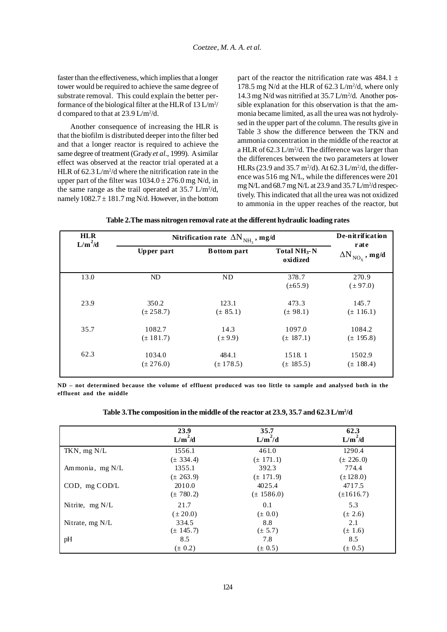faster than the effectiveness, which implies that a longer tower would be required to achieve the same degree of substrate removal. This could explain the better performance of the biological filter at the HLR of  $13 \text{ L/m}^2$ / d compared to that at  $23.9 \text{ L/m}^2/\text{d}$ .

Another consequence of increasing the HLR is that the biofilm is distributed deeper into the filter bed and that a longer reactor is required to achieve the same degree of treatment (Grady *et al*., 1999). A similar effect was observed at the reactor trial operated at a HLR of  $62.3 \text{ L/m}^2/\text{d}$  where the nitrification rate in the upper part of the filter was  $1034.0 \pm 276.0$  mg N/d, in the same range as the trail operated at  $35.7$  L/m<sup>2</sup>/d, namely  $1082.7 \pm 181.7$  mg N/d. However, in the bottom part of the reactor the nitrification rate was  $484.1 \pm$ 178.5 mg N/d at the HLR of  $62.3$  L/m<sup>2</sup>/d, where only 14.3 mg N/d was nitrified at 35.7 L/m<sup>2</sup>/d. Another possible explanation for this observation is that the ammonia became limited, as all the urea was not hydrolysed in the upper part of the column. The results give in Table 3 show the difference between the TKN and ammonia concentration in the middle of the reactor at a HLR of  $62.3 \text{ L/m}^2/\text{d}$ . The difference was larger than the differences between the two parameters at lower HLRs (23.9 and 35.7 m<sup>2</sup>/d). At 62.3 L/m<sup>2</sup>/d, the difference was 516 mg N/L, while the differences were 201 mg N/L and 68.7 mg N/L at 23.9 and 35.7 L/m<sup>2</sup>/d respectively. This indicated that all the urea was not oxidized to ammonia in the upper reaches of the reactor, but

| Table 2.The mass nitrogen removal rate at the different hydraulic loading rates |  |
|---------------------------------------------------------------------------------|--|
|                                                                                 |  |

| <b>HLR</b><br>$L/m^2/d$ | Nitrification rate $\left.\Delta N\right._{NH_{3}}$ , mg/d |                    |                                      | De-nitrification                          |
|-------------------------|------------------------------------------------------------|--------------------|--------------------------------------|-------------------------------------------|
|                         | Upper part                                                 | <b>Bottom</b> part | Total NH <sub>3</sub> -N<br>oxidized | rate<br>$\Delta N^{\,}_{\rm NO_X}$ , mg/d |
| 13.0                    | ND                                                         | <b>ND</b>          | 378.7<br>$(\pm 65.9)$                | 270.9<br>$(\pm 97.0)$                     |
| 23.9                    | 350.2                                                      | 123.1              | 473.3                                | 145.7                                     |
|                         | $(\pm 258.7)$                                              | $(\pm 85.1)$       | $(\pm 98.1)$                         | $(\pm 116.1)$                             |
| 35.7                    | 1082.7                                                     | 14.3               | 1097.0                               | 1084.2                                    |
|                         | $(\pm 181.7)$                                              | $(\pm 9.9)$        | $(\pm 187.1)$                        | $(\pm 195.8)$                             |
| 62.3                    | 1034.0                                                     | 484.1              | 1518.1                               | 1502.9                                    |
|                         | $(\pm 276.0)$                                              | $(\pm 178.5)$      | $(\pm 185.5)$                        | $(\pm 188.4)$                             |

**ND – not determined because the volume of effluent produced was too little to sample and analysed both in the effluent and the middle**

| Table 3. The composition in the middle of the reactor at 23.9, 35.7 and 62.3 L/m <sup>2</sup> /d |
|--------------------------------------------------------------------------------------------------|
|--------------------------------------------------------------------------------------------------|

|                    | 23.9<br>$L/m^2/d$ | 35.7<br>$L/m^2/d$ | 62.3<br>$L/m^2/d$ |
|--------------------|-------------------|-------------------|-------------------|
| TKN, $mg N/L$      | 1556.1            | 461.0             | 1290.4            |
|                    | $(\pm 334.4)$     | $(\pm 171.1)$     | $(\pm 226.0)$     |
| Ammonia, mg N/L    | 1355.1            | 392.3             | 774.4             |
|                    | $(\pm 263.9)$     | $(\pm 171.9)$     | $(\pm 128.0)$     |
| $COD$ , mg $COD/L$ | 2010.0            | 4025.4            | 4717.5            |
|                    | $(\pm 780.2)$     | $(\pm 1586.0)$    | $(\pm 1616.7)$    |
| Nitrite, $mg N/L$  | 21.7              | 0.1               | 5.3               |
|                    | $(\pm 20.0)$      | $(\pm 0.0)$       | $(\pm 2.6)$       |
| Nitrate, $mg N/L$  | 334.5             | 8.8               | 2.1               |
|                    | $(\pm 145.7)$     | $(\pm 5.7)$       | $(\pm 1.6)$       |
| pH                 | 8.5               | 7.8               | 8.5               |
|                    | $(\pm 0.2)$       | $(\pm 0.5)$       | $(\pm 0.5)$       |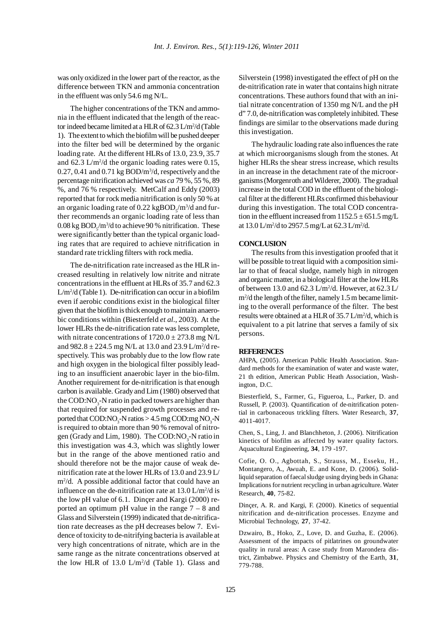was only oxidized in the lower part of the reactor, as the difference between TKN and ammonia concentration in the effluent was only 54.6 mg N/L.

The higher concentrations of the TKN and ammonia in the effluent indicated that the length of the reactor indeed became limited at a HLR of 62.3 L/m<sup>2</sup>/d (Table 1). The extent to which the biofilm will be pushed deeper into the filter bed will be determined by the organic loading rate. At the different HLRs of 13.0, 23.9, 35.7 and  $62.3 \text{ L/m}^2/\text{d}$  the organic loading rates were 0.15,  $0.27, 0.41$  and  $0.71$  kg BOD/m<sup>3</sup>/d, respectively and the percentage nitrification achieved was *ca* 79 %, 55 %, 89 %, and 76 % respectively. MetCalf and Eddy (2003) reported that for rock media nitrification is only 50 % at an organic loading rate of 0.22 kg $\text{BOD}_\text{s}/\text{m}^3/\text{d}$  and further recommends an organic loading rate of less than  $0.08$  kg  $\text{BOD}_5/\text{m}^3/\text{d}$  to achieve 90 % nitrification. These were significantly better than the typical organic loading rates that are required to achieve nitrification in standard rate trickling filters with rock media.

The de-nitrification rate increased as the HLR increased resulting in relatively low nitrite and nitrate concentrations in the effluent at HLRs of 35.7 and 62.3 L/m2 /d (Table 1). De-nitrification can occur in a biofilm even if aerobic conditions exist in the biological filter given that the biofilm is thick enough to maintain anaerobic conditions within (Biesterfeld *et al*., 2003). At the lower HLRs the de-nitrification rate was less complete, with nitrate concentrations of  $1720.0 \pm 273.8$  mg N/L and  $982.8 \pm 224.5$  mg N/L at 13.0 and 23.9 L/m<sup>2</sup>/d respectively. This was probably due to the low flow rate and high oxygen in the biological filter possibly leading to an insufficient anaerobic layer in the bio-film. Another requirement for de-nitrification is that enough carbon is available. Grady and Lim (1980) observed that the COD: $NO_3$ -N ratio in packed towers are higher than that required for suspended growth processes and reported that  $\text{COD:NO}_3$ -N ratios > 4.5 mg  $\text{COD:mg NO}_3\text{-N}$ is required to obtain more than 90 % removal of nitrogen (Grady and Lim, 1980). The COD:NO<sub>3</sub>-N ratio in this investigation was 4.3, which was slightly lower but in the range of the above mentioned ratio and should therefore not be the major cause of weak denitrification rate at the lower HLRs of 13.0 and 23.9 L/ m2 /d. A possible additional factor that could have an influence on the de-nitrification rate at  $13.0 \text{ L/m}^2/\text{d}$  is the low pH value of 6.1. Dinçer and Kargi (2000) reported an optimum pH value in the range 7 – 8 and Glass and Silverstein (1999) indicated that de-nitrification rate decreases as the pH decreases below 7. Evidence of toxicity to de-nitrifying bacteria is available at very high concentrations of nitrate, which are in the same range as the nitrate concentrations observed at the low HLR of  $13.0 \text{ L/m}^2/\text{d}$  (Table 1). Glass and

Silverstein (1998) investigated the effect of pH on the de-nitrification rate in water that contains high nitrate concentrations. These authors found that with an initial nitrate concentration of 1350 mg N/L and the pH d" 7.0, de-nitrification was completely inhibited. These findings are similar to the observations made during this investigation.

The hydraulic loading rate also influences the rate at which microorganisms slough from the stones. At higher HLRs the shear stress increase, which results in an increase in the detachment rate of the microorganisms (Morgenroth and Wilderer, 2000). The gradual increase in the total COD in the effluent of the biological filter at the different HLRs confirmed this behaviour during this investigation. The total COD concentration in the effluent increased from  $1152.5 \pm 651.5$  mg/L at  $13.0 \text{ L/m}^2/\text{d}$  to  $2957.5 \text{ mg/L}$  at  $62.3 \text{ L/m}^2/\text{d}$ .

## **CONCLUSION**

The results from this investigation proofed that it will be possible to treat liquid with a composition similar to that of feacal sludge, namely high in nitrogen and organic matter, in a biological filter at the low HLRs of between 13.0 and 62.3  $L/m^2/d$ . However, at 62.3  $L/m^2$ m2 /d the length of the filter, namely 1.5 m became limiting to the overall performance of the filter. The best results were obtained at a HLR of 35.7 L/m<sup>2</sup>/d, which is equivalent to a pit latrine that serves a family of six persons.

#### **REFERENCES**

AHPA, (2005). American Public Health Association. Standard methods for the examination of water and waste water, 21 th edition, American Public Heath Association, Washington, D.C.

Biesterfield, S., Farmer, G., Figueroa, L., Parker, D. and Russell, P. (2003). Quantification of de-nitrification potential in carbonaceous trickling filters. Water Research, **37**, 4011-4017.

Chen, S., Ling, J. and Blanchheton, J. (2006). Nitrification kinetics of biofilm as affected by water quality factors. Aquacultural Engineering, **34**, 179 -197.

Cofie, O. O., Agbottah, S., Strauss, M., Esseku, H., Montangero, A., Awuah, E. and Kone, D. (2006). Solidliquid separation of faecal sludge using drying beds in Ghana: Implications for nutrient recycling in urban agriculture. Water Research, **40**, 75-82.

Dinçer, A. R. and Kargi, F. (2000). Kinetics of sequential nitrification and de-nitrification processes. Enzyme and Microbial Technology, **27**, 37-42.

Dzwairo, B., Hoko, Z., Love, D. and Guzha, E. (2006). Assessment of the impacts of pitlatrines on groundwater quality in rural areas: A case study from Marondera district, Zimbabwe. Physics and Chemistry of the Earth, **31**, 779-788.